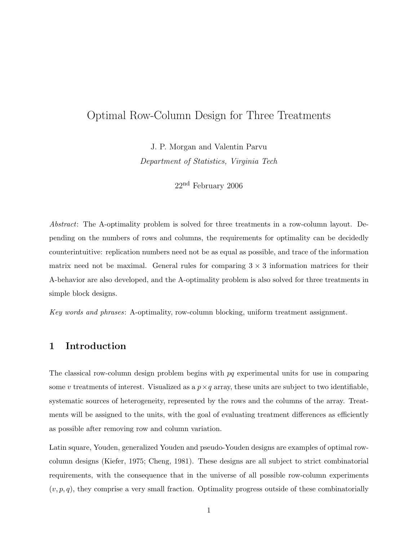# Optimal Row-Column Design for Three Treatments

J. P. Morgan and Valentin Parvu

Department of Statistics, Virginia Tech

22nd February 2006

Abstract: The A-optimality problem is solved for three treatments in a row-column layout. Depending on the numbers of rows and columns, the requirements for optimality can be decidedly counterintuitive: replication numbers need not be as equal as possible, and trace of the information matrix need not be maximal. General rules for comparing  $3 \times 3$  information matrices for their A-behavior are also developed, and the A-optimality problem is also solved for three treatments in simple block designs.

Key words and phrases: A-optimality, row-column blocking, uniform treatment assignment.

### 1 Introduction

The classical row-column design problem begins with  $pq$  experimental units for use in comparing some v treatments of interest. Visualized as a  $p \times q$  array, these units are subject to two identifiable, systematic sources of heterogeneity, represented by the rows and the columns of the array. Treatments will be assigned to the units, with the goal of evaluating treatment differences as efficiently as possible after removing row and column variation.

Latin square, Youden, generalized Youden and pseudo-Youden designs are examples of optimal rowcolumn designs (Kiefer, 1975; Cheng, 1981). These designs are all subject to strict combinatorial requirements, with the consequence that in the universe of all possible row-column experiments  $(v, p, q)$ , they comprise a very small fraction. Optimality progress outside of these combinatorially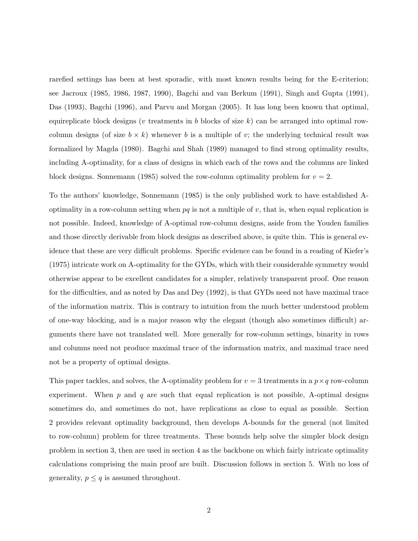rarefied settings has been at best sporadic, with most known results being for the E-criterion; see Jacroux (1985, 1986, 1987, 1990), Bagchi and van Berkum (1991), Singh and Gupta (1991), Das (1993), Bagchi (1996), and Parvu and Morgan (2005). It has long been known that optimal, equireplicate block designs (v treatments in b blocks of size k) can be arranged into optimal rowcolumn designs (of size  $b \times k$ ) whenever b is a multiple of v; the underlying technical result was formalized by Magda (1980). Bagchi and Shah (1989) managed to find strong optimality results, including A-optimality, for a class of designs in which each of the rows and the columns are linked block designs. Sonnemann (1985) solved the row-column optimality problem for  $v = 2$ .

To the authors' knowledge, Sonnemann (1985) is the only published work to have established Aoptimality in a row-column setting when  $pq$  is not a multiple of v, that is, when equal replication is not possible. Indeed, knowledge of A-optimal row-column designs, aside from the Youden families and those directly derivable from block designs as described above, is quite thin. This is general evidence that these are very difficult problems. Specific evidence can be found in a reading of Kiefer's (1975) intricate work on A-optimality for the GYDs, which with their considerable symmetry would otherwise appear to be excellent candidates for a simpler, relatively transparent proof. One reason for the difficulties, and as noted by Das and Dey (1992), is that GYDs need not have maximal trace of the information matrix. This is contrary to intuition from the much better understood problem of one-way blocking, and is a major reason why the elegant (though also sometimes difficult) arguments there have not translated well. More generally for row-column settings, binarity in rows and columns need not produce maximal trace of the information matrix, and maximal trace need not be a property of optimal designs.

This paper tackles, and solves, the A-optimality problem for  $v = 3$  treatments in a  $p \times q$  row-column experiment. When  $p$  and  $q$  are such that equal replication is not possible, A-optimal designs sometimes do, and sometimes do not, have replications as close to equal as possible. Section 2 provides relevant optimality background, then develops A-bounds for the general (not limited to row-column) problem for three treatments. These bounds help solve the simpler block design problem in section 3, then are used in section 4 as the backbone on which fairly intricate optimality calculations comprising the main proof are built. Discussion follows in section 5. With no loss of generality,  $p \leq q$  is assumed throughout.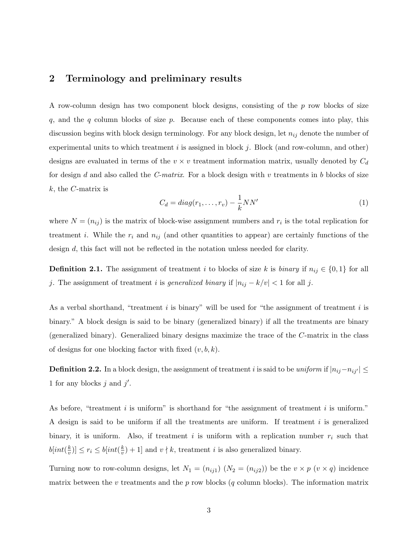# 2 Terminology and preliminary results

A row-column design has two component block designs, consisting of the p row blocks of size  $q$ , and the  $q$  column blocks of size  $p$ . Because each of these components comes into play, this discussion begins with block design terminology. For any block design, let  $n_{ij}$  denote the number of experimental units to which treatment i is assigned in block j. Block (and row-column, and other) designs are evaluated in terms of the  $v \times v$  treatment information matrix, usually denoted by  $C_d$ for design d and also called the C-matrix. For a block design with v treatments in b blocks of size  $k$ , the *C*-matrix is

$$
C_d = diag(r_1, \dots, r_v) - \frac{1}{k} N N'
$$
\n(1)

where  $N = (n_{ij})$  is the matrix of block-wise assignment numbers and  $r_i$  is the total replication for treatment i. While the  $r_i$  and  $n_{ij}$  (and other quantities to appear) are certainly functions of the design d, this fact will not be reflected in the notation unless needed for clarity.

**Definition 2.1.** The assignment of treatment i to blocks of size k is binary if  $n_{ij} \in \{0,1\}$  for all j. The assignment of treatment i is generalized binary if  $|n_{ij} - k/v| < 1$  for all j.

As a verbal shorthand, "treatment  $i$  is binary" will be used for "the assignment of treatment  $i$  is binary." A block design is said to be binary (generalized binary) if all the treatments are binary (generalized binary). Generalized binary designs maximize the trace of the C-matrix in the class of designs for one blocking factor with fixed  $(v, b, k)$ .

**Definition 2.2.** In a block design, the assignment of treatment i is said to be uniform if  $|n_{ij}-n_{ij'}| \leq$ 1 for any blocks  $j$  and  $j'$ .

As before, "treatment  $i$  is uniform" is shorthand for "the assignment of treatment  $i$  is uniform." A design is said to be uniform if all the treatments are uniform. If treatment  $i$  is generalized binary, it is uniform. Also, if treatment i is uniform with a replication number  $r_i$  such that  $b(int(\frac{k}{n})$  $\left[\frac{k}{v}\right] \leq r_i \leq b\left[ int\left(\frac{k}{v}\right)\right]$  $(v_i^k) + 1$  and  $v \nmid k$ , treatment *i* is also generalized binary.

Turning now to row-column designs, let  $N_1 = (n_{ij1}) (N_2 = (n_{ij2}))$  be the  $v \times p (v \times q)$  incidence matrix between the v treatments and the  $p$  row blocks (q column blocks). The information matrix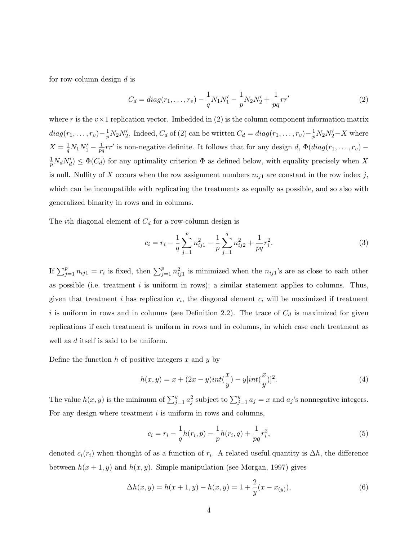for row-column design d is

$$
C_d = diag(r_1, \dots, r_v) - \frac{1}{q} N_1 N_1' - \frac{1}{p} N_2 N_2' + \frac{1}{pq} r r'
$$
\n(2)

where r is the  $v \times 1$  replication vector. Imbedded in (2) is the column component information matrix  $diag(r_1,\ldots,r_v)-\frac{1}{n}$  $\frac{1}{p}N_2N'_2$ . Indeed,  $C_d$  of (2) can be written  $C_d = diag(r_1, \ldots, r_v) - \frac{1}{p}$  $\frac{1}{p}N_2N_2' - X$  where  $X=\frac{1}{a}$  $\frac{1}{q}N_1N_1'-\frac{1}{pq}$  $\frac{1}{pq}rr'$  is non-negative definite. It follows that for any design d,  $\Phi(diag(r_1, \ldots, r_v)$  – 1  $\frac{1}{p}N_dN'_d$   $\leq \Phi(C_d)$  for any optimality criterion  $\Phi$  as defined below, with equality precisely when X is null. Nullity of X occurs when the row assignment numbers  $n_{ij1}$  are constant in the row index j, which can be incompatible with replicating the treatments as equally as possible, and so also with generalized binarity in rows and in columns.

The *i*th diagonal element of  $C_d$  for a row-column design is

$$
c_i = r_i - \frac{1}{q} \sum_{j=1}^p n_{ij1}^2 - \frac{1}{p} \sum_{j=1}^q n_{ij2}^2 + \frac{1}{pq} r_i^2.
$$
 (3)

If  $\sum_{j=1}^p n_{ij1} = r_i$  is fixed, then  $\sum_{j=1}^p n_{ij1}^2$  is minimized when the  $n_{ij1}$ 's are as close to each other as possible (i.e. treatment  $i$  is uniform in rows); a similar statement applies to columns. Thus, given that treatment *i* has replication  $r_i$ , the diagonal element  $c_i$  will be maximized if treatment i is uniform in rows and in columns (see Definition 2.2). The trace of  $C_d$  is maximized for given replications if each treatment is uniform in rows and in columns, in which case each treatment as well as d itself is said to be uniform.

Define the function  $h$  of positive integers  $x$  and  $y$  by

$$
h(x,y) = x + (2x - y)int(\frac{x}{y}) - y(int(\frac{x}{y})]^{2}.
$$
\n(4)

The value  $h(x, y)$  is the minimum of  $\sum_{j=1}^{y} a_j^2$  subject to  $\sum_{j=1}^{y} a_j = x$  and  $a_j$ 's nonnegative integers. For any design where treatment  $i$  is uniform in rows and columns,

$$
c_i = r_i - \frac{1}{q}h(r_i, p) - \frac{1}{p}h(r_i, q) + \frac{1}{pq}r_i^2,
$$
\n(5)

denoted  $c_i(r_i)$  when thought of as a function of  $r_i$ . A related useful quantity is  $\Delta h$ , the difference between  $h(x + 1, y)$  and  $h(x, y)$ . Simple manipulation (see Morgan, 1997) gives

$$
\Delta h(x, y) = h(x + 1, y) - h(x, y) = 1 + \frac{2}{y}(x - x_{(y)}),
$$
\n(6)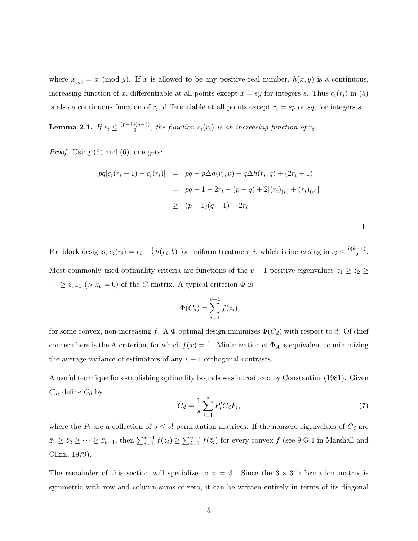where  $x_{(y)} = x \pmod{y}$ . If x is allowed to be any positive real number,  $h(x, y)$  is a continuous, increasing function of x, differentiable at all points except  $x = sy$  for integers s. Thus  $c_i(r_i)$  in (5) is also a continuous function of  $r_i$ , differentiable at all points except  $r_i = sp$  or  $sq$ , for integers s.

Lemma 2.1. If  $r_i \leq \frac{(p-1)(q-1)}{2}$  $\frac{2(2q-1)}{2}$ , the function  $c_i(r_i)$  is an increasing function of  $r_i$ .

Proof. Using (5) and (6), one gets:

$$
pq[c_i(r_i+1) - c_i(r_i)] = pq - p\Delta h(r_i, p) - q\Delta h(r_i, q) + (2r_i + 1)
$$
  
=  $pq + 1 - 2r_i - (p + q) + 2[(r_i)_{(p)} + (r_i)_{(q)}]$   
 $\geq (p - 1)(q - 1) - 2r_i$ 

For block designs,  $c_i(r_i) = r_i - \frac{1}{k}$  $\frac{1}{k}h(r_i, b)$  for uniform treatment *i*, which is increasing in  $r_i \leq \frac{b(k-1)}{2}$  $\frac{(-1)}{2}$ . Most commonly used optimality criteria are functions of the  $v-1$  positive eigenvalues  $z_1 \geq z_2 \geq$  $\cdots \ge z_{v-1}$  (>  $z_v = 0$ ) of the C-matrix. A typical criterion  $\Phi$  is

$$
\Phi(C_d) = \sum_{i=1}^{v-1} f(z_i)
$$

for some convex, non-increasing f. A  $\Phi$ -optimal design minimizes  $\Phi(C_d)$  with respect to d. Of chief concern here is the A-criterion, for which  $f(x) = \frac{1}{x}$ . Minimization of  $\Phi_A$  is equivalent to minimizing the average variance of estimators of any  $v - 1$  orthogonal contrasts.

A useful technique for establishing optimality bounds was introduced by Constantine (1981). Given  $C_d$ , define  $\bar{C}_d$  by

$$
\bar{C}_d = \frac{1}{s} \sum_{i=1}^s P'_i C_d P_i,\tag{7}
$$

where the  $P_i$  are a collection of  $s \leq v!$  permutation matrices. If the nonzero eigenvalues of  $\bar{C}_d$  are  $\bar{z}_1 \geq \bar{z}_2 \geq \cdots \geq \bar{z}_{v-1}$ , then  $\sum_{i=1}^{v-1} f(z_i) \geq$  $\nabla^{v-1}$  $\sum_{i=1}^{v-1} f(\bar{z}_i)$  for every convex f (see 9.G.1 in Marshall and Olkin, 1979).

The remainder of this section will specialize to  $v = 3$ . Since the  $3 \times 3$  information matrix is symmetric with row and column sums of zero, it can be written entirely in terms of its diagonal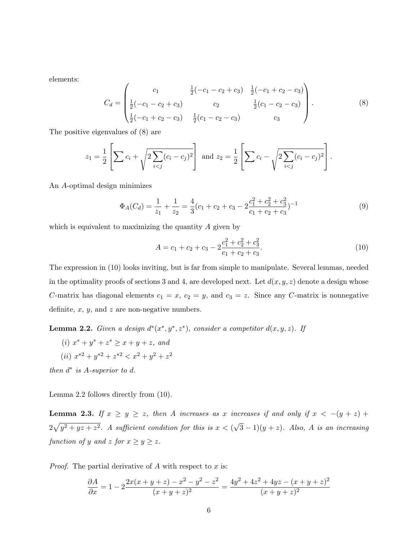elements:

$$
C_d = \begin{pmatrix} c_1 & \frac{1}{2}(-c_1 - c_2 + c_3) & \frac{1}{2}(-c_1 + c_2 - c_3) \\ \frac{1}{2}(-c_1 - c_2 + c_3) & c_2 & \frac{1}{2}(c_1 - c_2 - c_3) \\ \frac{1}{2}(-c_1 + c_2 - c_3) & \frac{1}{2}(c_1 - c_2 - c_3) & c_3 \end{pmatrix}.
$$
 (8)

The positive eigenvalues of (8) are

$$
z_1 = \frac{1}{2} \left[ \sum c_i + \sqrt{2 \sum_{i < j} (c_i - c_j)^2} \right] \text{ and } z_2 = \frac{1}{2} \left[ \sum c_i - \sqrt{2 \sum_{i < j} (c_i - c_j)^2} \right].
$$

An A-optimal design minimizes

$$
\Phi_A(C_d) = \frac{1}{z_1} + \frac{1}{z_2} = \frac{4}{3}(c_1 + c_2 + c_3 - 2\frac{c_1^2 + c_2^2 + c_3^2}{c_1 + c_2 + c_3})^{-1}
$$
\n(9)

which is equivalent to maximizing the quantity  $\vec{A}$  given by

$$
A = c_1 + c_2 + c_3 - 2\frac{c_1^2 + c_2^2 + c_3^2}{c_1 + c_2 + c_3}.
$$
\n
$$
(10)
$$

The expression in (10) looks inviting, but is far from simple to manipulate. Several lemmas, needed in the optimality proofs of sections 3 and 4, are developed next. Let  $d(x, y, z)$  denote a design whose C-matrix has diagonal elements  $c_1 = x$ ,  $c_2 = y$ , and  $c_3 = z$ . Since any C-matrix is nonnegative definite,  $x$ ,  $y$ , and  $z$  are non-negative numbers.

**Lemma 2.2.** Given a design  $d^*(x^*, y^*, z^*)$ , consider a competitor  $d(x, y, z)$ . If

(i)  $x^* + y^* + z^* \ge x + y + z$ , and (*ii*)  $x^{*2} + y^{*2} + z^{*2} < x^2 + y^2 + z^2$ 

then  $d^*$  is A-superior to  $d$ .

Lemma 2.2 follows directly from (10).

Lemma 2.3. If  $x \ge y \ge z$ , then A increases as x increases if and only if  $x < -(y + z) + z$ 2 p  $(y^2 + yz + z^2)$ . A sufficient condition for this is  $x < 0$ . √  $(3-1)(y+z)$ . Also, A is an increasing function of y and z for  $x \ge y \ge z$ .

*Proof.* The partial derivative of A with respect to x is:

$$
\frac{\partial A}{\partial x} = 1 - 2 \frac{2x(x + y + z) - x^2 - y^2 - z^2}{(x + y + z)^2} = \frac{4y^2 + 4z^2 + 4yz - (x + y + z)^2}{(x + y + z)^2}
$$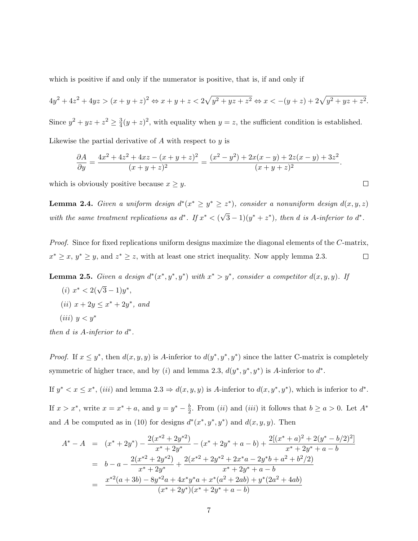which is positive if and only if the numerator is positive, that is, if and only if

$$
4y^2 + 4z^2 + 4yz > (x + y + z)^2 \Leftrightarrow x + y + z < 2\sqrt{y^2 + yz + z^2} \Leftrightarrow x < -(y + z) + 2\sqrt{y^2 + yz + z^2}.
$$

Since  $y^2 + yz + z^2 \geq \frac{3}{4}$  $\frac{3}{4}(y+z)^2$ , with equality when  $y=z$ , the sufficient condition is established.

Likewise the partial derivative of  $A$  with respect to  $y$  is

$$
\frac{\partial A}{\partial y} = \frac{4x^2 + 4z^2 + 4xz - (x + y + z)^2}{(x + y + z)^2} = \frac{(x^2 - y^2) + 2x(x - y) + 2z(x - y) + 3z^2}{(x + y + z)^2}.
$$

 $\Box$ 

which is obviously positive because  $x \geq y$ .

**Lemma 2.4.** Given a uniform design  $d^*(x^* \geq y^* \geq z^*)$ , consider a nonuniform design  $d(x, y, z)$ with the same treatment replications as  $d^*$ . If  $x^* < (\sqrt{\sqrt{2}} + i\sqrt{2})$  $\overline{3} - 1$ )(y<sup>\*</sup> + z<sup>\*</sup>), then d is A-inferior to d<sup>\*</sup>.

Proof. Since for fixed replications uniform designs maximize the diagonal elements of the C-matrix,  $x^* \geq x, y^* \geq y$ , and  $z^* \geq z$ , with at least one strict inequality. Now apply lemma 2.3.  $\Box$ 

**Lemma 2.5.** Given a design  $d^*(x^*, y^*, y^*)$  with  $x^* > y^*$ , consider a competitor  $d(x, y, y)$ . If

(*i*)  $x^* < 2(\sqrt{3}-1)y^*$ , (*ii*)  $x + 2y \le x^* + 2y^*$ , and  $(iii)$   $y < y^*$ 

then  $d$  is A-inferior to  $d^*$ .

*Proof.* If  $x \leq y^*$ , then  $d(x, y, y)$  is A-inferior to  $d(y^*, y^*, y^*)$  since the latter C-matrix is completely symmetric of higher trace, and by (i) and lemma 2.3,  $d(y^*, y^*, y^*)$  is A-inferior to  $d^*$ .

If  $y^* < x \leq x^*$ , (iii) and lemma  $2.3 \Rightarrow d(x, y, y)$  is A-inferior to  $d(x, y^*, y^*)$ , which is inferior to  $d^*$ . If  $x > x^*$ , write  $x = x^* + a$ , and  $y = y^* - \frac{b}{2}$  $\frac{b}{2}$ . From *(ii)* and *(iii)* it follows that  $b \ge a > 0$ . Let  $A^*$ and A be computed as in (10) for designs  $d^*(x^*, y^*, y^*)$  and  $d(x, y, y)$ . Then

$$
A^* - A = (x^* + 2y^*) - \frac{2(x^{*2} + 2y^{*2})}{x^* + 2y^*} - (x^* + 2y^* + a - b) + \frac{2[(x^* + a)^2 + 2(y^* - b/2)^2]}{x^* + 2y^* + a - b}
$$
  
=  $b - a - \frac{2(x^{*2} + 2y^{*2})}{x^* + 2y^*} + \frac{2(x^{*2} + 2y^{*2} + 2x^*a - 2y^*b + a^2 + b^2/2)}{x^* + 2y^* + a - b}$   
=  $\frac{x^{*2}(a + 3b) - 8y^{*2}a + 4x^*y^*a + x^*(a^2 + 2ab) + y^*(2a^2 + 4ab)}{(x^* + 2y^*)(x^* + 2y^* + a - b)}$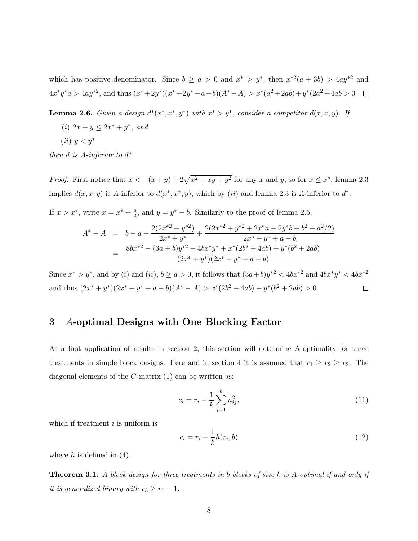which has positive denominator. Since  $b \ge a > 0$  and  $x^* > y^*$ , then  $x^{*2}(a+3b) > 4ay^{*2}$  and  $4x^*y^*a > 4ay^{*2}$ , and thus  $(x^*+2y^*)(x^*+2y^*+a-b)(A^*-A) > x^*(a^2+2ab)+y^*(2a^2+4ab>0)$ 

**Lemma 2.6.** Given a design  $d^*(x^*, x^*, y^*)$  with  $x^* > y^*$ , consider a competitor  $d(x, x, y)$ . If

- (*i*)  $2x + y \leq 2x^* + y^*$ , and
- (ii)  $y < y^*$

then  $d$  is A-inferior to  $d^*$ .

*Proof.* First notice that  $x < -(x+y) + 2\sqrt{x^2 + xy + y^2}$  for any x and y, so for  $x \leq x^*$ , lemma 2.3 implies  $d(x, x, y)$  is A-inferior to  $d(x^*, x^*, y)$ , which by (*ii*) and lemma 2.3 is A-inferior to  $d^*$ .

If  $x > x^*$ , write  $x = x^* + \frac{a}{2}$  $\frac{a}{2}$ , and  $y = y^* - b$ . Similarly to the proof of lemma 2.5,

$$
A^* - A = b - a - \frac{2(2x^{*2} + y^{*2})}{2x^* + y^*} + \frac{2(2x^{*2} + y^{*2} + 2x^*a - 2y^*b + b^2 + a^2/2)}{2x^* + y^* + a - b}
$$
  
= 
$$
\frac{8bx^{*2} - (3a + b)y^{*2} - 4bx^*y^* + x^*(2b^2 + 4ab) + y^*(b^2 + 2ab)}{(2x^* + y^*)(2x^* + y^* + a - b)}
$$

Since  $x^* > y^*$ , and by (i) and (ii),  $b \ge a > 0$ , it follows that  $(3a+b)y^{*2} < 4bx^{*2}$  and  $4bx^*y^* < 4bx^{*2}$ and thus  $(2x^* + y^*)(2x^* + y^* + a - b)(A^* - A) > x^*(2b^2 + 4ab) + y^*(b^2 + 2ab) > 0$  $\Box$ 

# 3 A-optimal Designs with One Blocking Factor

As a first application of results in section 2, this section will determine A-optimality for three treatments in simple block designs. Here and in section 4 it is assumed that  $r_1 \ge r_2 \ge r_3$ . The diagonal elements of the  $C$ -matrix  $(1)$  can be written as:

$$
c_i = r_i - \frac{1}{k} \sum_{j=1}^{b} n_{ij}^2,
$$
\n(11)

which if treatment  $i$  is uniform is

$$
c_i = r_i - \frac{1}{k}h(r_i, b) \tag{12}
$$

where  $h$  is defined in  $(4)$ .

**Theorem 3.1.** A block design for three treatments in b blocks of size k is A-optimal if and only if it is generalized binary with  $r_3 \ge r_1 - 1$ .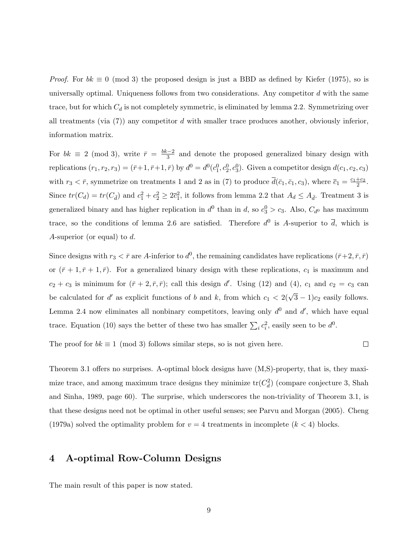*Proof.* For  $bk \equiv 0 \pmod{3}$  the proposed design is just a BBD as defined by Kiefer (1975), so is universally optimal. Uniqueness follows from two considerations. Any competitor  $d$  with the same trace, but for which  $C_d$  is not completely symmetric, is eliminated by lemma 2.2. Symmetrizing over all treatments (via  $(7)$ ) any competitor d with smaller trace produces another, obviously inferior, information matrix.

For  $bk \equiv 2 \pmod{3}$ , write  $\bar{r} = \frac{bk-2}{3}$  $\frac{3^{z-2}}{3}$  and denote the proposed generalized binary design with replications  $(r_1, r_2, r_3) = (\bar{r} + 1, \bar{r} + 1, \bar{r})$  by  $d^0 = d^0(c_1^0, c_2^0, c_3^0)$ . Given a competitor design  $d(c_1, c_2, c_3)$ with  $r_3 < \bar{r}$ , symmetrize on treatments 1 and 2 as in (7) to produce  $\bar{d}(\bar{c}_1, \bar{c}_1, c_3)$ , where  $\bar{c}_1 = \frac{c_1+c_2}{2}$ . Since  $tr(C_d) = tr(C_{\bar{d}})$  and  $c_1^2 + c_2^2 \geq 2\bar{c}_1^2$ , it follows from lemma 2.2 that  $A_d \leq A_{\bar{d}}$ . Treatment 3 is generalized binary and has higher replication in  $d^0$  than in d, so  $c_3^0 > c_3$ . Also,  $C_{d^0}$  has maximum trace, so the conditions of lemma 2.6 are satisfied. Therefore  $d^0$  is A-superior to  $\overline{d}$ , which is A-superior (or equal) to  $d$ .

Since designs with  $r_3 < \bar{r}$  are A-inferior to  $d^0$ , the remaining candidates have replications  $(\bar{r}+2, \bar{r}, \bar{r})$ or  $(\bar{r} + 1, \bar{r} + 1, \bar{r})$ . For a generalized binary design with these replications,  $c_1$  is maximum and  $c_2 + c_3$  is minimum for  $(\bar{r} + 2, \bar{r}, \bar{r})$ ; call this design d'. Using (12) and (4),  $c_1$  and  $c_2 = c_3$  can be calculated for d' as explicit functions of b and k, from which  $c_1 < 2(\sqrt{3}-1)c_2$  easily follows. Lemma 2.4 now eliminates all nonbinary competitors, leaving only  $d^0$  and  $d'$ , which have equal trace. Equation (10) says the better of these two has smaller  $\sum_i c_i^2$ , easily seen to be  $d^0$ .

The proof for  $bk \equiv 1 \pmod{3}$  follows similar steps, so is not given here.  $\Box$ 

Theorem 3.1 offers no surprises. A-optimal block designs have (M,S)-property, that is, they maximize trace, and among maximum trace designs they minimize  $\text{tr}(C_d^2)$  (compare conjecture 3, Shah and Sinha, 1989, page 60). The surprise, which underscores the non-triviality of Theorem 3.1, is that these designs need not be optimal in other useful senses; see Parvu and Morgan (2005). Cheng (1979a) solved the optimality problem for  $v = 4$  treatments in incomplete  $(k < 4)$  blocks.

#### 4 A-optimal Row-Column Designs

The main result of this paper is now stated.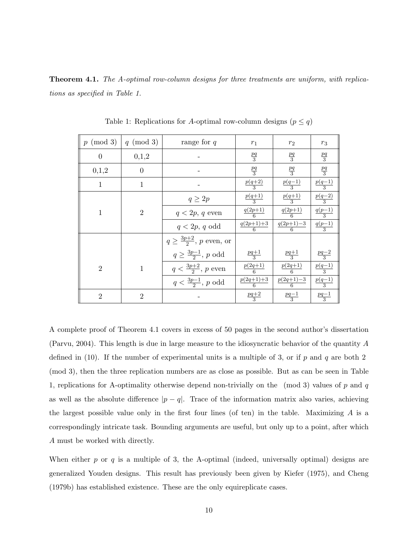Theorem 4.1. The A-optimal row-column designs for three treatments are uniform, with replications as specified in Table 1.

| $p \pmod{3}$   | $q \pmod{3}$   | range for $q$                        | $r_1$                 | $r_2$                 | $r_3$              |
|----------------|----------------|--------------------------------------|-----------------------|-----------------------|--------------------|
| $\theta$       | 0,1,2          |                                      | $rac{pq}{3}$          | $rac{pq}{3}$          | $rac{pq}{3}$       |
| 0,1,2          | 0              |                                      | $\frac{pq}{3}$        | $\frac{pq}{3}$        | $rac{pq}{3}$       |
| 1              | 1              |                                      | $\frac{p(q+2)}{3}$    | $rac{p(q-1)}{3}$      | $\frac{p(q-1)}{3}$ |
|                |                | $q \geq 2p$                          | $\frac{p(q+1)}{3}$    | $\frac{p(q+1)}{3}$    | $\frac{p(q-2)}{3}$ |
| 1              | $\overline{2}$ | $q < 2p, q$ even                     | $\frac{q(2p+1)}{6}$   | $\frac{q(2p+1)}{6}$   | $\frac{q(p-1)}{3}$ |
|                |                | $q < 2p, q$ odd                      | $\frac{q(2p+1)+3}{6}$ | $\frac{q(2p+1)-3}{6}$ | $\frac{q(p-1)}{3}$ |
|                |                | $q \geq \frac{3p+2}{2}$ , p even, or |                       |                       |                    |
|                |                | $q\geq \frac{3p-1}{2},\,p$ odd       | $\frac{pq+1}{3}$      | $\frac{pq+1}{3}$      | $\frac{pq-2}{3}$   |
| $\overline{2}$ | 1              | $q < \frac{3p+2}{2}$ , p even        | $rac{p(2q+1)}{6}$     | $rac{p(2q+1)}{6}$     | $\frac{p(q-1)}{3}$ |
|                |                | $q<\frac{3p-1}{2}$ , p odd           | $\frac{p(2q+1)+3}{6}$ | $\frac{p(2q+1)-3}{6}$ | $\frac{p(q-1)}{3}$ |
| $\overline{2}$ | $\overline{2}$ |                                      | $\frac{pq+2}{3}$      | $\frac{pq-1}{3}$      | $\frac{pq-1}{3}$   |

Table 1: Replications for A-optimal row-column designs  $(p \leq q)$ 

A complete proof of Theorem 4.1 covers in excess of 50 pages in the second author's dissertation (Parvu, 2004). This length is due in large measure to the idiosyncratic behavior of the quantity A defined in (10). If the number of experimental units is a multiple of 3, or if  $p$  and  $q$  are both 2 (mod 3), then the three replication numbers are as close as possible. But as can be seen in Table 1, replications for A-optimality otherwise depend non-trivially on the  $\pmod{3}$  values of p and q as well as the absolute difference  $|p - q|$ . Trace of the information matrix also varies, achieving the largest possible value only in the first four lines (of ten) in the table. Maximizing  $A$  is a correspondingly intricate task. Bounding arguments are useful, but only up to a point, after which A must be worked with directly.

When either  $p$  or  $q$  is a multiple of 3, the A-optimal (indeed, universally optimal) designs are generalized Youden designs. This result has previously been given by Kiefer (1975), and Cheng (1979b) has established existence. These are the only equireplicate cases.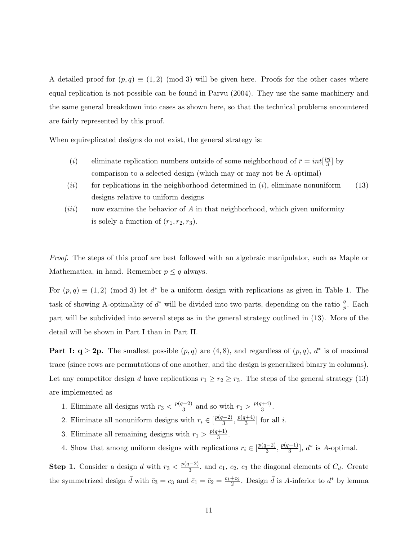A detailed proof for  $(p, q) \equiv (1, 2) \pmod{3}$  will be given here. Proofs for the other cases where equal replication is not possible can be found in Parvu (2004). They use the same machinery and the same general breakdown into cases as shown here, so that the technical problems encountered are fairly represented by this proof.

When equireplicated designs do not exist, the general strategy is:

- (*i*) eliminate replication numbers outside of some neighborhood of  $\bar{r} = int[\frac{pq}{3}]$  $\frac{2q}{3}$  by comparison to a selected design (which may or may not be A-optimal)
- $(ii)$  for replications in the neighborhood determined in  $(i)$ , eliminate nonuniform (13) designs relative to uniform designs
- $(iii)$  now examine the behavior of A in that neighborhood, which given uniformity is solely a function of  $(r_1, r_2, r_3)$ .

Proof. The steps of this proof are best followed with an algebraic manipulator, such as Maple or Mathematica, in hand. Remember  $p \leq q$  always.

For  $(p, q) \equiv (1, 2) \pmod{3}$  let  $d^*$  be a uniform design with replications as given in Table 1. The task of showing A-optimality of  $d^*$  will be divided into two parts, depending on the ratio  $\frac{q}{p}$ . Each part will be subdivided into several steps as in the general strategy outlined in (13). More of the detail will be shown in Part I than in Part II.

**Part I:**  $q \ge 2p$ . The smallest possible  $(p, q)$  are  $(4, 8)$ , and regardless of  $(p, q)$ ,  $d^*$  is of maximal trace (since rows are permutations of one another, and the design is generalized binary in columns). Let any competitor design d have replications  $r_1 \ge r_2 \ge r_3$ . The steps of the general strategy (13) are implemented as

- 1. Eliminate all designs with  $r_3 < \frac{p(q-2)}{3}$  $\frac{(-2)}{3}$  and so with  $r_1 > \frac{p(q+4)}{3}$  $\frac{(+4)}{3}$ .
- 2. Eliminate all nonuniform designs with  $r_i \in \left[\frac{p(q-2)}{3}\right]$  $\frac{p(-2)}{3}, \frac{p(q+4)}{3}$  $\frac{i+4j}{3}$  for all *i*.
- 3. Eliminate all remaining designs with  $r_1 > \frac{p(q+1)}{3}$  $\frac{(+1)}{3}$ .
- 4. Show that among uniform designs with replications  $r_i \in \left[\frac{p(q-2)}{3}\right]$  $\frac{p(q+1)}{3}, \frac{p(q+1)}{3}$  $\frac{(n+1)}{3}$ ,  $d^*$  is A-optimal.

**Step 1.** Consider a design d with  $r_3 < \frac{p(q-2)}{3}$  $\frac{(-2)}{3}$ , and  $c_1$ ,  $c_2$ ,  $c_3$  the diagonal elements of  $C_d$ . Create the symmetrized design  $\bar{d}$  with  $\bar{c}_3 = c_3$  and  $\bar{c}_1 = \bar{c}_2 = \frac{c_1+c_2}{2}$ . Design  $\bar{d}$  is A-inferior to  $d^*$  by lemma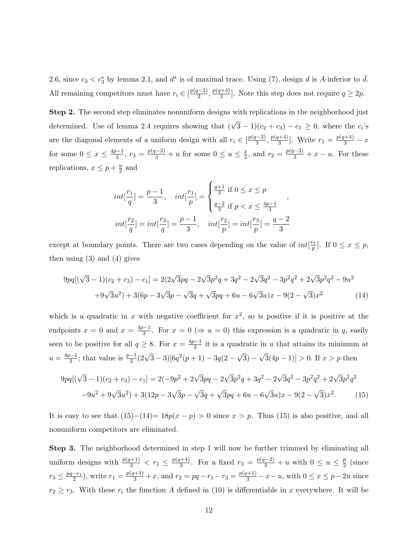2.6, since  $c_3 < c_3^*$  by lemma 2.1, and  $d^*$  is of maximal trace. Using (7), design d is A-inferior to  $\overline{d}$ . All remaining competitors must have  $r_i \in \left[\frac{p(q-2)}{3}\right]$  $\frac{p(-2)}{3}, \frac{p(q+4)}{3}$  $\frac{1}{3}$ . Note this step does not require  $q \ge 2p$ .

Step 2. The second step eliminates nonuniform designs with replications in the neighborhood just determined. Use of lemma 2.4 requires showing that  $(\sqrt{3} - 1)(c_2 + c_3) - c_1 \ge 0$ , where the  $c_i$ 's are the diagonal elements of a uniform design with all  $r_i \in \left[\frac{p(q-2)}{3}\right]$  $\frac{p(-2)}{3}, \frac{p(q+4)}{3}$  $\frac{p(1+4)}{3}$ . Write  $r_1 = \frac{p(q+4)}{3} - x$ for some  $0 \leq x \leq \frac{4p-1}{3}$  $\frac{p-1}{3}, r_3 = \frac{p(q-2)}{3} + u$  for some  $0 \le u \le \frac{x}{2}$  $\frac{x}{2}$ , and  $r_2 = \frac{p(q-2)}{3} + x - u$ . For these replications,  $x \leq p + \frac{u}{2}$  $\frac{u}{2}$  and

$$
int[\frac{r_1}{q}] = \frac{p-1}{3}, \quad int[\frac{r_1}{p}] = \begin{cases} \frac{q+1}{3} & \text{if } 0 \le x \le p \\ \frac{q-2}{3} & \text{if } p < x \le \frac{4p-1}{3} \end{cases},
$$

$$
int[\frac{r_2}{q}] = int[\frac{r_3}{q}] = \frac{p-1}{3}, \quad int[\frac{r_2}{p}] = int[\frac{r_3}{p}] = \frac{q-2}{3}
$$

except at boundary points. There are two cases depending on the value of  $int[\frac{r_1}{p}]$ . If  $0 \le x \le p$ , then using  $(3)$  and  $(4)$  gives

$$
9pq[(\sqrt{3}-1)(c_2+c_3)-c_1] = 2(2\sqrt{3}pq - 2\sqrt{3}p^2q + 3q^2 - 2\sqrt{3}q^2 - 3p^2q^2 + 2\sqrt{3}p^2q^2 - 9u^2
$$
  
+9 $\sqrt{3}u^2$ ) + 3(6p - 3 $\sqrt{3}p - \sqrt{3}q + \sqrt{3}pq + 6u - 6\sqrt{3}u)x - 9(2 - \sqrt{3})x^2$  (14)

which is a quadratic in x with negative coefficient for  $x^2$ , so is positive if it is positive at the endpoints  $x = 0$  and  $x = \frac{4p-1}{3}$  $\frac{3}{3}$ . For  $x = 0 \ (\Rightarrow u = 0)$  this expression is a quadratic in q, easily seen to be positive for all  $q \geq 8$ . For  $x = \frac{4p-1}{3}$  $\frac{3}{3}$  it is a quadratic in u that attains its minimum at  $u = \frac{4p-1}{3}$  $\frac{3^{p-1}}{3}$ ; that value is  $\frac{p-1}{3}(2\sqrt{3}-3)[6q^2(p+1)-3q(2-1)]$ √  $3) -$ √  $3(4p-1) > 0$ . If  $x > p$  then

$$
9pq[(\sqrt{3}-1)(c_2+c_3)-c_1] = 2(-9p^2+2\sqrt{3}pq-2\sqrt{3}p^2q+3q^2-2\sqrt{3}q^2-3p^2q^2+2\sqrt{3}p^2q^2
$$
  

$$
-9u^2+9\sqrt{3}u^2)+3(12p-3\sqrt{3}p-\sqrt{3}q+\sqrt{3}pq+6u-6\sqrt{3}u)x-9(2-\sqrt{3})x^2.
$$
 (15)

It is easy to see that  $(15)-(14)= 18p(x-p) > 0$  since  $x > p$ . Thus (15) is also positive, and all nonuniform competitors are eliminated.

Step 3. The neighborhood determined in step 1 will now be further trimmed by eliminating all uniform designs with  $\frac{p(q+1)}{3} < r_1 \leq \frac{p(q+4)}{3}$  $\frac{1}{3}$ . For a fixed  $r_3 = \frac{p(q-2)}{3} + u$  with  $0 \le u \le \frac{p}{2}$  $\frac{p}{2}$  (since  $r_3 \leq \frac{pq-r_1}{2}$ , write  $r_1 = \frac{p(q+1)}{3} + x$ , and  $r_2 = pq - r_1 - r_3 = \frac{p(q+1)}{3} - x - u$ , with  $0 \leq x \leq p-2u$  since  $r_2 \geq r_3$ . With these  $r_i$  the function A defined in (10) is differentiable in x everywhere. It will be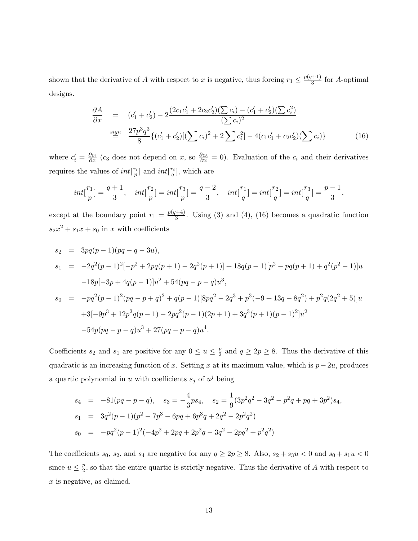shown that the derivative of A with respect to x is negative, thus forcing  $r_1 \n\t\leq \frac{p(q+1)}{3}$  $\frac{7+1}{3}$  for A-optimal designs.

$$
\frac{\partial A}{\partial x} = (c'_1 + c'_2) - 2 \frac{(2c_1c'_1 + 2c_2c'_2)(\sum c_i) - (c'_1 + c'_2)(\sum c_i^2)}{(\sum c_i)^2}
$$
\n
$$
\stackrel{\text{sign}}{=} \frac{27p^3q^3}{8} \{ (c'_1 + c'_2)[(\sum c_i)^2 + 2\sum c_i^2] - 4(c_1c'_1 + c_2c'_2)(\sum c_i) \} \tag{16}
$$

where  $c_i' = \frac{\partial c_i}{\partial x}$  (c<sub>3</sub> does not depend on x, so  $\frac{\partial c_3}{\partial x} = 0$ ). Evaluation of the  $c_i$  and their derivatives requires the values of  $int[\frac{r_i}{p}]$  and  $int[\frac{r_i}{q}]$ , which are

$$
int[\frac{r_1}{p}] = \frac{q+1}{3}, \quad int[\frac{r_2}{p}] = int[\frac{r_3}{p}] = \frac{q-2}{3}, \quad int[\frac{r_1}{q}] = int[\frac{r_2}{q}] = int[\frac{r_3}{q}] = \frac{p-1}{3},
$$

except at the boundary point  $r_1 = \frac{p(q+4)}{3}$  $\frac{(+4)}{3}$ . Using (3) and (4), (16) becomes a quadratic function  $s_2x^2 + s_1x + s_0$  in x with coefficients

$$
s_2 = 3pq(p-1)(pq-q-3u),
$$
  
\n
$$
s_1 = -2q^2(p-1)^2[-p^2 + 2pq(p+1) - 2q^2(p+1)] + 18q(p-1)[p^2 - pq(p+1) + q^2(p^2-1)]u
$$
  
\n
$$
-18p[-3p+4q(p-1)]u^2 + 54(pq-p-q)u^3,
$$
  
\n
$$
s_0 = -pq^2(p-1)^2(pq-p+q)^2 + q(p-1)[8pq^2 - 2q^3 + p^3(-9+13q-8q^2) + p^2q(2q^2+5)]u
$$
  
\n
$$
+3[-9p^3 + 12p^2q(p-1) - 2pq^2(p-1)(2p+1) + 3q^3(p+1)(p-1)^2]u^2
$$
  
\n
$$
-54p(pq-p-q)u^3 + 27(pq-p-q)u^4.
$$

Coefficients  $s_2$  and  $s_1$  are positive for any  $0 \le u \le \frac{p}{2}$  $\frac{p}{2}$  and  $q \ge 2p \ge 8$ . Thus the derivative of this quadratic is an increasing function of x. Setting x at its maximum value, which is  $p-2u$ , produces a quartic polynomial in u with coefficients  $s_j$  of  $u^j$  being

$$
s_4 = -81(pq - p - q), \quad s_3 = -\frac{4}{3}ps_4, \quad s_2 = \frac{1}{9}(3p^2q^2 - 3q^2 - p^2q + pq + 3p^2)s_4,
$$
  
\n
$$
s_1 = 3q^2(p - 1)(p^2 - 7p^3 - 6pq + 6p^3q + 2q^2 - 2p^2q^2)
$$
  
\n
$$
s_0 = -pq^2(p - 1)^2(-4p^2 + 2pq + 2p^2q - 3q^2 - 2pq^2 + p^2q^2)
$$

The coefficients  $s_0$ ,  $s_2$ , and  $s_4$  are negative for any  $q \ge 2p \ge 8$ . Also,  $s_2 + s_3u < 0$  and  $s_0 + s_1u < 0$ since  $u \leq \frac{p}{2}$  $\frac{p}{2}$ , so that the entire quartic is strictly negative. Thus the derivative of A with respect to x is negative, as claimed.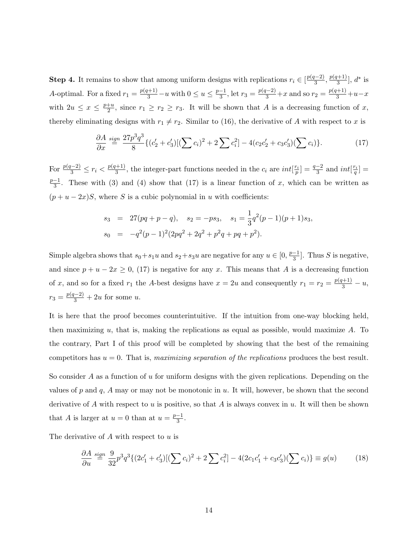**Step 4.** It remains to show that among uniform designs with replications  $r_i \in \left[\frac{p(q-2)}{3}\right]$  $\frac{p(q+1)}{3}, \frac{p(q+1)}{3}$  $\frac{a+1}{3}$ ],  $d^*$  is A-optimal. For a fixed  $r_1 = \frac{p(q+1)}{3} - u$  with  $0 \le u \le \frac{p-1}{3}$  $\frac{-1}{3}$ , let  $r_3 = \frac{p(q-2)}{3} + x$  and so  $r_2 = \frac{p(q+1)}{3} + u - x$ with  $2u \leq x \leq \frac{p+u}{2}$  $\frac{+u}{2}$ , since  $r_1 \ge r_2 \ge r_3$ . It will be shown that A is a decreasing function of x, thereby eliminating designs with  $r_1 \neq r_2$ . Similar to (16), the derivative of A with respect to x is

$$
\frac{\partial A}{\partial x} \stackrel{sign}{=} \frac{27p^3q^3}{8} \{ (c_2' + c_3') [(\sum c_i)^2 + 2 \sum c_i^2] - 4(c_2c_2' + c_3c_3') (\sum c_i) \}.
$$
 (17)

For  $\frac{p(q-2)}{3} \leq r_i < \frac{p(q+1)}{3}$  $\frac{q+1}{3}$ , the integer-part functions needed in the  $c_i$  are  $int[\frac{r_i}{p}] = \frac{q-2}{3}$  and  $int[\frac{r_i}{q}] =$  $p-1$  $\frac{-1}{3}$ . These with (3) and (4) show that (17) is a linear function of x, which can be written as  $(p + u - 2x)S$ , where S is a cubic polynomial in u with coefficients:

$$
s_3 = 27(pq + p - q), \quad s_2 = -ps_3, \quad s_1 = \frac{1}{3}q^2(p - 1)(p + 1)s_3,
$$
  

$$
s_0 = -q^2(p - 1)^2(2pq^2 + 2q^2 + p^2q + pq + p^2).
$$

Simple algebra shows that  $s_0+s_1u$  and  $s_2+s_3u$  are negative for any  $u \in [0, \frac{p-1}{3}]$  $\frac{-1}{3}$ . Thus S is negative, and since  $p + u - 2x \ge 0$ , (17) is negative for any x. This means that A is a decreasing function of x, and so for a fixed  $r_1$  the A-best designs have  $x = 2u$  and consequently  $r_1 = r_2 = \frac{p(q+1)}{3} - u$ ,  $r_3 = \frac{p(q-2)}{3} + 2u$  for some u.

It is here that the proof becomes counterintuitive. If the intuition from one-way blocking held, then maximizing  $u$ , that is, making the replications as equal as possible, would maximize  $A$ . To the contrary, Part I of this proof will be completed by showing that the best of the remaining competitors has  $u = 0$ . That is, maximizing separation of the replications produces the best result.

So consider A as a function of u for uniform designs with the given replications. Depending on the values of  $p$  and  $q$ ,  $A$  may or may not be monotonic in  $u$ . It will, however, be shown that the second derivative of A with respect to u is positive, so that A is always convex in u. It will then be shown that A is larger at  $u = 0$  than at  $u = \frac{p-1}{3}$  $\frac{-1}{3}$ .

The derivative of  $A$  with respect to  $u$  is

$$
\frac{\partial A}{\partial u} \stackrel{sign}{=} \frac{9}{32} p^3 q^3 \{ (2c'_1 + c'_3) [(\sum c_i)^2 + 2 \sum c_i^2] - 4(2c_1 c'_1 + c_3 c'_3) (\sum c_i) \} \equiv g(u) \tag{18}
$$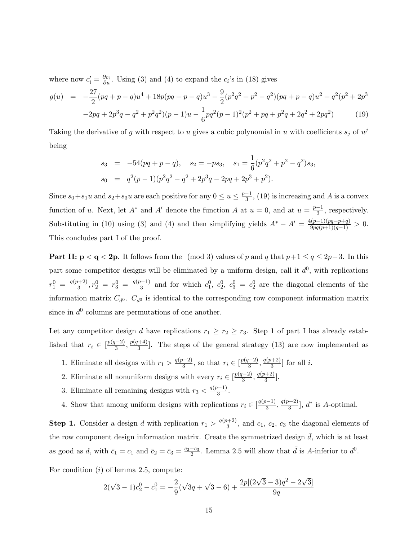where now  $c_i' = \frac{\partial c_i}{\partial u}$ . Using (3) and (4) to expand the  $c_i$ 's in (18) gives

$$
g(u) = -\frac{27}{2}(pq + p - q)u^4 + 18p(pq + p - q)u^3 - \frac{9}{2}(p^2q^2 + p^2 - q^2)(pq + p - q)u^2 + q^2(p^2 + 2p^3 - 2pq + 2p^3q - q^2 + p^2q^2)(p - 1)u - \frac{1}{6}pq^2(p - 1)^2(p^2 + pq + p^2q + 2q^2 + 2pq^2)
$$
(19)

Taking the derivative of g with respect to u gives a cubic polynomial in u with coefficients  $s_j$  of  $u^j$ being

$$
s_3 = -54(pq + p - q), \quad s_2 = -ps_3, \quad s_1 = \frac{1}{6}(p^2q^2 + p^2 - q^2)s_3,
$$
  

$$
s_0 = q^2(p-1)(p^2q^2 - q^2 + 2p^3q - 2pq + 2p^3 + p^2).
$$

Since  $s_0+s_1u$  and  $s_2+s_3u$  are each positive for any  $0 \le u \le \frac{p-1}{3}$  $\frac{-1}{3}$ , (19) is increasing and A is a convex function of u. Next, let  $A^*$  and  $A'$  denote the function A at  $u = 0$ , and at  $u = \frac{p-1}{3}$  $\frac{-1}{3}$ , respectively. Substituting in (10) using (3) and (4) and then simplifying yields  $A^* - A' = \frac{4(p-1)(pq-p+q)}{9pq(p+1)(q-1)} > 0$ . This concludes part I of the proof.

**Part II: p < q < 2p.** It follows from the (mod 3) values of p and q that  $p+1 \le q \le 2p-3$ . In this part some competitor designs will be eliminated by a uniform design, call it  $d^0$ , with replications  $r_1^0 = \frac{q(p+2)}{3}$  $\frac{p+2}{3}, r_2^0 = r_3^0 = \frac{q(p-1)}{3}$  $\frac{(-1)}{3}$  and for which  $c_1^0$ ,  $c_2^0$ ,  $c_3^0 = c_2^0$  are the diagonal elements of the information matrix  $C_{d}$ .  $C_{d}$  is identical to the corresponding row component information matrix since in  $d^0$  columns are permutations of one another.

Let any competitor design d have replications  $r_1 \geq r_2 \geq r_3$ . Step 1 of part I has already established that  $r_i \in \left[\frac{p(q-2)}{3}\right]$  $\frac{p(-2)}{3}, \frac{p(q+4)}{3}$  $\frac{(+4)}{3}$ . The steps of the general strategy (13) are now implemented as

- 1. Eliminate all designs with  $r_1 > \frac{q(p+2)}{3}$  $\frac{p+2}{3}$ , so that  $r_i \in \left[\frac{p(q-2)}{3}\right]$  $\frac{q(p+2)}{3}, \frac{q(p+2)}{3}$  $\frac{1}{3}$  for all *i*.
- 2. Eliminate all nonuniform designs with every  $r_i \in \left[\frac{p(q-2)}{3}\right]$  $\frac{q(p+2)}{3}, \frac{q(p+2)}{3}$  $\frac{1+2j}{3}$ .
- 3. Eliminate all remaining designs with  $r_3 < \frac{q(p-1)}{3}$  $\frac{(-1)}{3}$ .
- 4. Show that among uniform designs with replications  $r_i \in \left[\frac{q(p-1)}{3}\right]$  $\frac{q(p+2)}{3}, \frac{q(p+2)}{3}$  $\frac{a^{n+2}}{3}$ ,  $d^*$  is A-optimal.

**Step 1.** Consider a design d with replication  $r_1 > \frac{q(p+2)}{3}$  $\frac{1+2}{3}$ , and  $c_1$ ,  $c_2$ ,  $c_3$  the diagonal elements of the row component design information matrix. Create the symmetrized design  $\overline{d}$ , which is at least as good as d, with  $\bar{c}_1 = c_1$  and  $\bar{c}_2 = \bar{c}_3 = \frac{c_2+c_3}{2}$ . Lemma 2.5 will show that  $\bar{d}$  is A-inferior to  $d^0$ .

For condition  $(i)$  of lemma 2.5, compute:

$$
2(\sqrt{3}-1)c_2^0 - c_1^0 = -\frac{2}{9}(\sqrt{3}q + \sqrt{3} - 6) + \frac{2p[(2\sqrt{3}-3)q^2 - 2\sqrt{3}]}{9q}
$$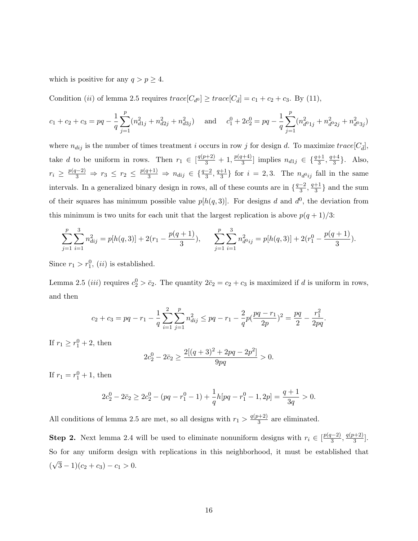which is positive for any  $q > p \geq 4$ .

Condition (*ii*) of lemma 2.5 requires  $trace[C_{d0}] \geq trace[C_{\bar{d}}] = c_1 + c_2 + c_3$ . By (11),

$$
c_1 + c_2 + c_3 = pq - \frac{1}{q} \sum_{j=1}^p (n_{d1j}^2 + n_{d2j}^2 + n_{d3j}^2) \quad \text{and} \quad c_1^0 + 2c_2^0 = pq - \frac{1}{q} \sum_{j=1}^p (n_{d^0 1j}^2 + n_{d^0 2j}^2 + n_{d^0 3j}^2)
$$

where  $n_{dij}$  is the number of times treatment i occurs in row j for design d. To maximize  $trace[C_{\bar{d}}]$ , take d to be uniform in rows. Then  $r_1 \in \left[\frac{q(p+2)}{3} + 1, \frac{p(q+4)}{3}\right]$  $\left[\frac{q+4}{3}\right]$  implies  $n_{d1j} \in \{\frac{q+1}{3}, \frac{q+4}{3}\}$  $\frac{+4}{3}$ . Also,  $r_i \geq \frac{p(q-2)}{3} \Rightarrow r_3 \leq r_2 \leq \frac{p(q+1)}{3} \Rightarrow n_{dij} \in \{\frac{q-2}{3}, \frac{q+1}{3}$  $\frac{+1}{3}$  for  $i = 2,3$ . The  $n_{d}$ <sub>0</sub> $_{ij}$  fall in the same intervals. In a generalized binary design in rows, all of these counts are in  $\{\frac{q-2}{3}\}$  $\frac{-2}{3}, \frac{q+1}{3}$  $\frac{+1}{3}$  and the sum of their squares has minimum possible value  $p[h(q, 3)]$ . For designs d and  $d^0$ , the deviation from this minimum is two units for each unit that the largest replication is above  $p(q + 1)/3$ :

$$
\sum_{j=1}^{p} \sum_{i=1}^{3} n_{dij}^{2} = p[h(q,3)] + 2(r_{1} - \frac{p(q+1)}{3}), \qquad \sum_{j=1}^{p} \sum_{i=1}^{3} n_{d^{0}ij}^{2} = p[h(q,3)] + 2(r_{1}^{0} - \frac{p(q+1)}{3}).
$$

Since  $r_1 > r_1^0$ ,  $(ii)$  is established.

Lemma 2.5 *(iii)* requires  $c_2^0 > \bar{c}_2$ . The quantity  $2\bar{c}_2 = c_2 + c_3$  is maximized if d is uniform in rows, and then

$$
c_2 + c_3 = pq - r_1 - \frac{1}{q} \sum_{i=1}^{q} \sum_{j=1}^{p} n_{dij}^2 \le pq - r_1 - \frac{2}{q} p \left(\frac{pq - r_1}{2p}\right)^2 = \frac{pq}{2} - \frac{r_1^2}{2pq}.
$$

If  $r_1 \ge r_1^0 + 2$ , then

$$
2c_2^0 - 2\bar{c}_2 \ge \frac{2[(q+3)^2 + 2pq - 2p^2]}{9pq} > 0.
$$

If  $r_1 = r_1^0 + 1$ , then

$$
2c_2^0 - 2\bar{c}_2 \ge 2c_2^0 - (pq - r_1^0 - 1) + \frac{1}{q}h[pq - r_1^0 - 1, 2p] = \frac{q+1}{3q} > 0.
$$

All conditions of lemma 2.5 are met, so all designs with  $r_1 > \frac{q(p+2)}{3}$  $\frac{3^{(n+2)}}{3}$  are eliminated.

**Step 2.** Next lemma 2.4 will be used to eliminate nonuniform designs with  $r_i \in \left[\frac{p(q-2)}{3}\right]$  $\frac{q(p+2)}{3}, \frac{q(p+2)}{3}$  $\frac{1+2j}{3}$ . So for any uniform design with replications in this neighborhood, it must be established that ( √  $(3-1)(c_2+c_3)-c_1>0.$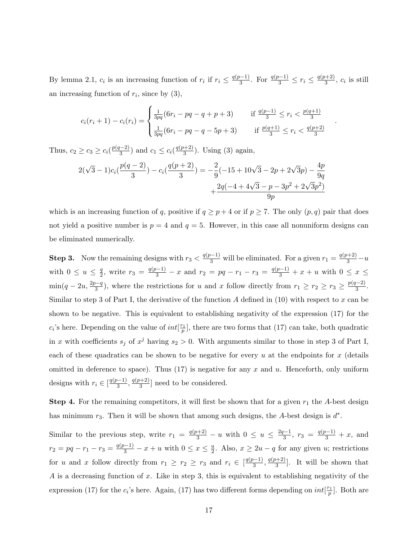By lemma 2.1,  $c_i$  is an increasing function of  $r_i$  if  $r_i \leq \frac{q(p-1)}{3}$  $\frac{q(p-1)}{3}$ . For  $\frac{q(p-1)}{3}$  ≤  $r_i$  ≤  $\frac{q(p+2)}{3}$  $\frac{a+2j}{3}$ ,  $c_i$  is still an increasing function of  $r_i$ , since by  $(3)$ ,

$$
c_i(r_i+1) - c_i(r_i) = \begin{cases} \frac{1}{3pq}(6r_i - pq - q + p + 3) & \text{if } \frac{q(p-1)}{3} \le r_i < \frac{p(q+1)}{3} \\ \frac{1}{3pq}(6r_i - pq - q - 5p + 3) & \text{if } \frac{p(q+1)}{3} \le r_i < \frac{q(p+2)}{3} \end{cases}
$$

.

Thus,  $c_2 \ge c_3 \ge c_i(\frac{p(q-2)}{3})$  $\frac{(-2)}{3}$ ) and  $c_1 \leq c_i(\frac{q(p+2)}{3})$  $\frac{(n+2)}{3}$ ). Using (3) again,

$$
2(\sqrt{3}-1)c_i(\frac{p(q-2)}{3}) - c_i(\frac{q(p+2)}{3}) = -\frac{2}{9}(-15+10\sqrt{3}-2p+2\sqrt{3}p) - \frac{4p}{9q} + \frac{2q(-4+4\sqrt{3}-p-3p^2+2\sqrt{3}p^2)}{9p}
$$

which is an increasing function of q, positive if  $q \geq p+4$  or if  $p \geq 7$ . The only  $(p,q)$  pair that does not yield a positive number is  $p = 4$  and  $q = 5$ . However, in this case all nonuniform designs can be eliminated numerically.

**Step 3.** Now the remaining designs with  $r_3 < \frac{q(p-1)}{3}$  will be eliminated. For a given  $r_1 = \frac{q(p+2)}{3} - u$ with  $0 \leq u \leq \frac{q}{2}$  $\frac{q}{2}$ , write  $r_3 = \frac{q(p-1)}{3} - x$  and  $r_2 = pq - r_1 - r_3 = \frac{q(p-1)}{3} + x + u$  with  $0 \le x \le$  $\min(q-2u,\frac{2p-q}{3})$  $\frac{3^{n-q}}{3}$ , where the restrictions for u and x follow directly from  $r_1 \geq r_2 \geq r_3 \geq \frac{p(q-2)}{3}$  $rac{(-2)}{3}$ . Similar to step 3 of Part I, the derivative of the function A defined in  $(10)$  with respect to x can be shown to be negative. This is equivalent to establishing negativity of the expression (17) for the  $c_i$ 's here. Depending on the value of  $int[\frac{r_1}{p}]$ , there are two forms that (17) can take, both quadratic in x with coefficients  $s_j$  of  $x^j$  having  $s_2 > 0$ . With arguments similar to those in step 3 of Part I, each of these quadratics can be shown to be negative for every  $u$  at the endpoints for  $x$  (details omitted in deference to space). Thus  $(17)$  is negative for any x and u. Henceforth, only uniform designs with  $r_i \in \left[\frac{q(p-1)}{3}\right]$  $\frac{q(p+2)}{3}, \frac{q(p+2)}{3}$  $\frac{3^{1+2}}{3}$  need to be considered.

**Step 4.** For the remaining competitors, it will first be shown that for a given  $r_1$  the A-best design has minimum  $r_3$ . Then it will be shown that among such designs, the A-best design is  $d^*$ .

Similar to the previous step, write  $r_1 = \frac{q(p+2)}{3} - u$  with  $0 \le u \le \frac{2q-1}{3}$  $\frac{q(-1)}{3}, r_3 = \frac{q(p-1)}{3} + x$ , and  $r_2 = pq - r_1 - r_3 = \frac{q(p-1)}{3} - x + u$  with  $0 \le x \le \frac{u}{2}$  $\frac{u}{2}$ . Also,  $x \ge 2u - q$  for any given u; restrictions for u and x follow directly from  $r_1 \geq r_2 \geq r_3$  and  $r_i \in \left[\frac{q(p-1)}{3}\right]$  $\frac{q(p+2)}{3}, \frac{q(p+2)}{3}$  $\frac{3^{n+2}}{3}$ . It will be shown that A is a decreasing function of x. Like in step 3, this is equivalent to establishing negativity of the expression (17) for the  $c_i$ 's here. Again, (17) has two different forms depending on  $int[\frac{r_1}{p}]$ . Both are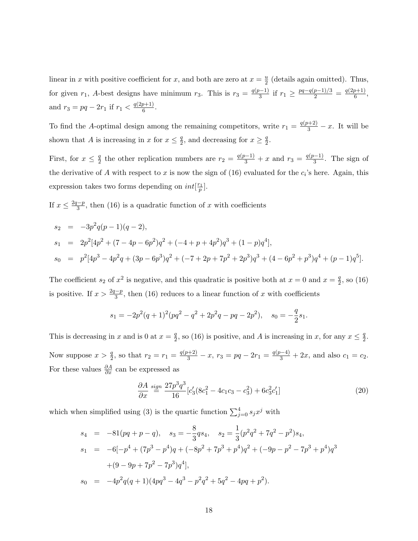linear in x with positive coefficient for x, and both are zero at  $x = \frac{u}{2}$  $\frac{u}{2}$  (details again omitted). Thus, for given  $r_1$ , A-best designs have minimum  $r_3$ . This is  $r_3 = \frac{q(p-1)}{3}$  $rac{(-1)}{3}$  if  $r_1 \geq \frac{pq-q(p-1)/3}{2} = \frac{q(2p+1)}{6}$  $\frac{p+1}{6},$ and  $r_3 = pq - 2r_1$  if  $r_1 < \frac{q(2p+1)}{6}$  $\frac{p+1}{6}$ .

To find the A-optimal design among the remaining competitors, write  $r_1 = \frac{q(p+2)}{3} - x$ . It will be shown that A is increasing in x for  $x \leq \frac{q}{2}$  $\frac{q}{2}$ , and decreasing for  $x \geq \frac{q}{2}$  $\frac{q}{2}$ .

First, for  $x \leq \frac{q}{2}$  $\frac{q}{2}$  the other replication numbers are  $r_2 = \frac{q(p-1)}{3} + x$  and  $r_3 = \frac{q(p-1)}{3}$  $\frac{3^{n-1}}{3}$ . The sign of the derivative of A with respect to x is now the sign of  $(16)$  evaluated for the  $c_i$ 's here. Again, this expression takes two forms depending on  $int[\frac{r_1}{p}]$ .

If  $x \leq \frac{2q-p}{3}$  $\frac{(-p)}{3}$ , then (16) is a quadratic function of x with coefficients

$$
s_2 = -3p^2q(p-1)(q-2),
$$
  
\n
$$
s_1 = 2p^2[4p^2 + (7 - 4p - 6p^2)q^2 + (-4 + p + 4p^2)q^3 + (1 - p)q^4],
$$
  
\n
$$
s_0 = p^2[4p^3 - 4p^2q + (3p - 6p^3)q^2 + (-7 + 2p + 7p^2 + 2p^3)q^3 + (4 - 6p^2 + p^3)q^4 + (p - 1)q^5].
$$

The coefficient  $s_2$  of  $x^2$  is negative, and this quadratic is positive both at  $x=0$  and  $x=\frac{q}{2}$  $\frac{q}{2}$ , so  $(16)$ is positive. If  $x > \frac{2q-p}{3}$ , then (16) reduces to a linear function of x with coefficients

$$
s_1 = -2p^2(q+1)^2(pq^2 - q^2 + 2p^2q - pq - 2p^2), \quad s_0 = -\frac{q}{2}s_1.
$$

This is decreasing in x and is 0 at  $x = \frac{q}{2}$  $\frac{q}{2}$ , so (16) is positive, and A is increasing in x, for any  $x \leq \frac{q}{2}$  $\frac{q}{2}$ . Now suppose  $x > \frac{q}{2}$ , so that  $r_2 = r_1 = \frac{q(p+2)}{3} - x$ ,  $r_3 = pq - 2r_1 = \frac{q(p-4)}{3} + 2x$ , and also  $c_1 = c_2$ . For these values  $\frac{\partial A}{\partial x}$  can be expressed as

$$
\frac{\partial A}{\partial x} \stackrel{sign}{=} \frac{27p^3q^3}{16} [c'_3(8c_1^2 - 4c_1c_3 - c_3^2) + 6c_3^2c'_1]
$$
\n(20)

which when simplified using (3) is the quartic function  $\sum_{j=0}^{4} s_j x^j$  with

$$
s_4 = -81(pq + p - q), \quad s_3 = -\frac{8}{3}qs_4, \quad s_2 = \frac{1}{3}(p^2q^2 + 7q^2 - p^2)s_4,
$$
  
\n
$$
s_1 = -6[-p^4 + (7p^3 - p^4)q + (-8p^2 + 7p^3 + p^4)q^2 + (-9p - p^2 - 7p^3 + p^4)q^3
$$
  
\n
$$
+(9 - 9p + 7p^2 - 7p^3)q^4],
$$
  
\n
$$
s_0 = -4p^2q(q + 1)(4pq^3 - 4q^3 - p^2q^2 + 5q^2 - 4pq + p^2).
$$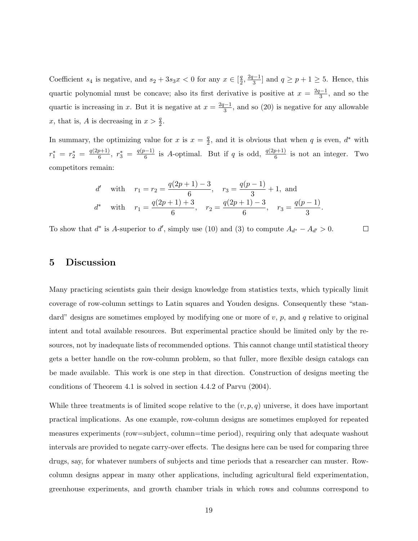Coefficient  $s_4$  is negative, and  $s_2 + 3s_3x < 0$  for any  $x \in \left[\frac{q}{2}\right]$  $\frac{q}{2}, \frac{2q-1}{3}$  $\frac{q-1}{3}$  and  $q \geq p+1 \geq 5$ . Hence, this quartic polynomial must be concave; also its first derivative is positive at  $x = \frac{2q-1}{3}$  $\frac{(-1)}{3}$ , and so the quartic is increasing in x. But it is negative at  $x = \frac{2q-1}{3}$  $\frac{7-1}{3}$ , and so (20) is negative for any allowable x, that is, A is decreasing in  $x > \frac{q}{2}$ .

In summary, the optimizing value for x is  $x = \frac{q}{2}$  $\frac{q}{2}$ , and it is obvious that when q is even,  $d^*$  with  $r_1^* = r_2^* = \frac{q(2p+1)}{6}$  $\frac{p+1}{6}, r_3^* = \frac{q(p-1)}{6}$  $\frac{q^{(n-1)}}{6}$  is A-optimal. But if q is odd,  $\frac{q(2p+1)}{6}$  is not an integer. Two competitors remain:

$$
d' \quad \text{with} \quad r_1 = r_2 = \frac{q(2p+1)-3}{6}, \quad r_3 = \frac{q(p-1)}{3} + 1, \text{ and}
$$
\n
$$
d^* \quad \text{with} \quad r_1 = \frac{q(2p+1)+3}{6}, \quad r_2 = \frac{q(2p+1)-3}{6}, \quad r_3 = \frac{q(p-1)}{3}.
$$

To show that  $d^*$  is A-superior to  $d'$ , simply use (10) and (3) to compute  $A_{d^*} - A_{d'} > 0$ .  $\Box$ 

### 5 Discussion

Many practicing scientists gain their design knowledge from statistics texts, which typically limit coverage of row-column settings to Latin squares and Youden designs. Consequently these "standard" designs are sometimes employed by modifying one or more of  $v, p$ , and q relative to original intent and total available resources. But experimental practice should be limited only by the resources, not by inadequate lists of recommended options. This cannot change until statistical theory gets a better handle on the row-column problem, so that fuller, more flexible design catalogs can be made available. This work is one step in that direction. Construction of designs meeting the conditions of Theorem 4.1 is solved in section 4.4.2 of Parvu (2004).

While three treatments is of limited scope relative to the  $(v, p, q)$  universe, it does have important practical implications. As one example, row-column designs are sometimes employed for repeated measures experiments (row=subject, column=time period), requiring only that adequate washout intervals are provided to negate carry-over effects. The designs here can be used for comparing three drugs, say, for whatever numbers of subjects and time periods that a researcher can muster. Rowcolumn designs appear in many other applications, including agricultural field experimentation, greenhouse experiments, and growth chamber trials in which rows and columns correspond to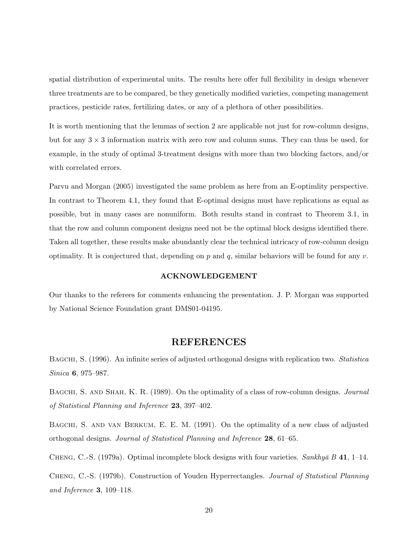spatial distribution of experimental units. The results here offer full flexibility in design whenever three treatments are to be compared, be they genetically modified varieties, competing management practices, pesticide rates, fertilizing dates, or any of a plethora of other possibilities.

It is worth mentioning that the lemmas of section 2 are applicable not just for row-column designs, but for any  $3 \times 3$  information matrix with zero row and column sums. They can thus be used, for example, in the study of optimal 3-treatment designs with more than two blocking factors, and/or with correlated errors.

Parvu and Morgan (2005) investigated the same problem as here from an E-optimlity perspective. In contrast to Theorem 4.1, they found that E-optimal designs must have replications as equal as possible, but in many cases are nonuniform. Both results stand in contrast to Theorem 3.1, in that the row and column component designs need not be the optimal block designs identified there. Taken all together, these results make abundantly clear the technical intricacy of row-column design optimality. It is conjectured that, depending on  $p$  and  $q$ , similar behaviors will be found for any  $v$ .

#### ACKNOWLEDGEMENT

Our thanks to the referees for comments enhancing the presentation. J. P. Morgan was supported by National Science Foundation grant DMS01-04195.

#### REFERENCES

BAGCHI, S. (1996). An infinite series of adjusted orthogonal designs with replication two. *Statistica* Sinica 6, 975–987.

BAGCHI, S. AND SHAH, K. R. (1989). On the optimality of a class of row-column designs. Journal of Statistical Planning and Inference 23, 397–402.

BAGCHI, S. AND VAN BERKUM, E. E. M. (1991). On the optimality of a new class of adjusted orthogonal designs. Journal of Statistical Planning and Inference 28, 61–65.

CHENG, C.-S. (1979a). Optimal incomplete block designs with four varieties. Sankhyā B 41, 1–14.

Cheng, C.-S. (1979b). Construction of Youden Hyperrectangles. Journal of Statistical Planning and Inference 3, 109–118.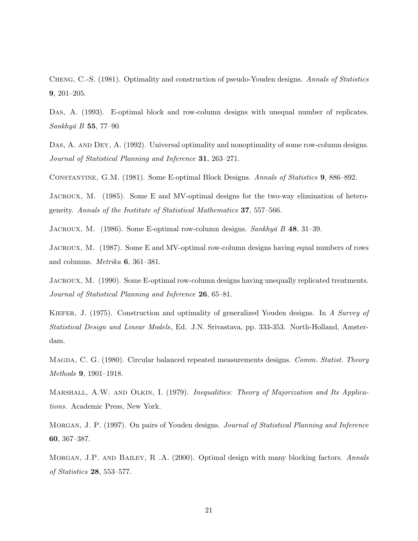Cheng, C.-S. (1981). Optimality and construction of pseudo-Youden designs. Annals of Statistics 9, 201–205.

Das, A. (1993). E-optimal block and row-column designs with unequal number of replicates.  $Sankhy\bar{a}$  B 55, 77–90.

Das, A. AND DEY, A. (1992). Universal optimality and nonoptimality of some row-column designs. Journal of Statistical Planning and Inference 31, 263–271.

Constantine, G.M. (1981). Some E-optimal Block Designs. Annals of Statistics 9, 886–892.

Jacroux, M. (1985). Some E and MV-optimal designs for the two-way elimination of heterogeneity. Annals of the Institute of Statistical Mathematics 37, 557–566.

JACROUX, M. (1986). Some E-optimal row-column designs. Sankhyā B 48, 31–39.

Jacroux, M. (1987). Some E and MV-optimal row-column designs having equal numbers of rows and columns. Metrika 6, 361–381.

Jacroux, M. (1990). Some E-optimal row-column designs having unequally replicated treatments. Journal of Statistical Planning and Inference 26, 65–81.

Kiefer, J. (1975). Construction and optimality of generalized Youden designs. In A Survey of Statistical Design and Linear Models, Ed. J.N. Srivastava, pp. 333-353. North-Holland, Amsterdam.

MAGDA, C. G. (1980). Circular balanced repeated measurements designs. Comm. Statist. Theory Methods 9, 1901–1918.

MARSHALL, A.W. AND OLKIN, I. (1979). Inequalities: Theory of Majorization and Its Applications. Academic Press, New York.

Morgan, J. P. (1997). On pairs of Youden designs. Journal of Statistical Planning and Inference 60, 367–387.

MORGAN, J.P. AND BAILEY, R.A. (2000). Optimal design with many blocking factors. Annals of Statistics 28, 553–577.